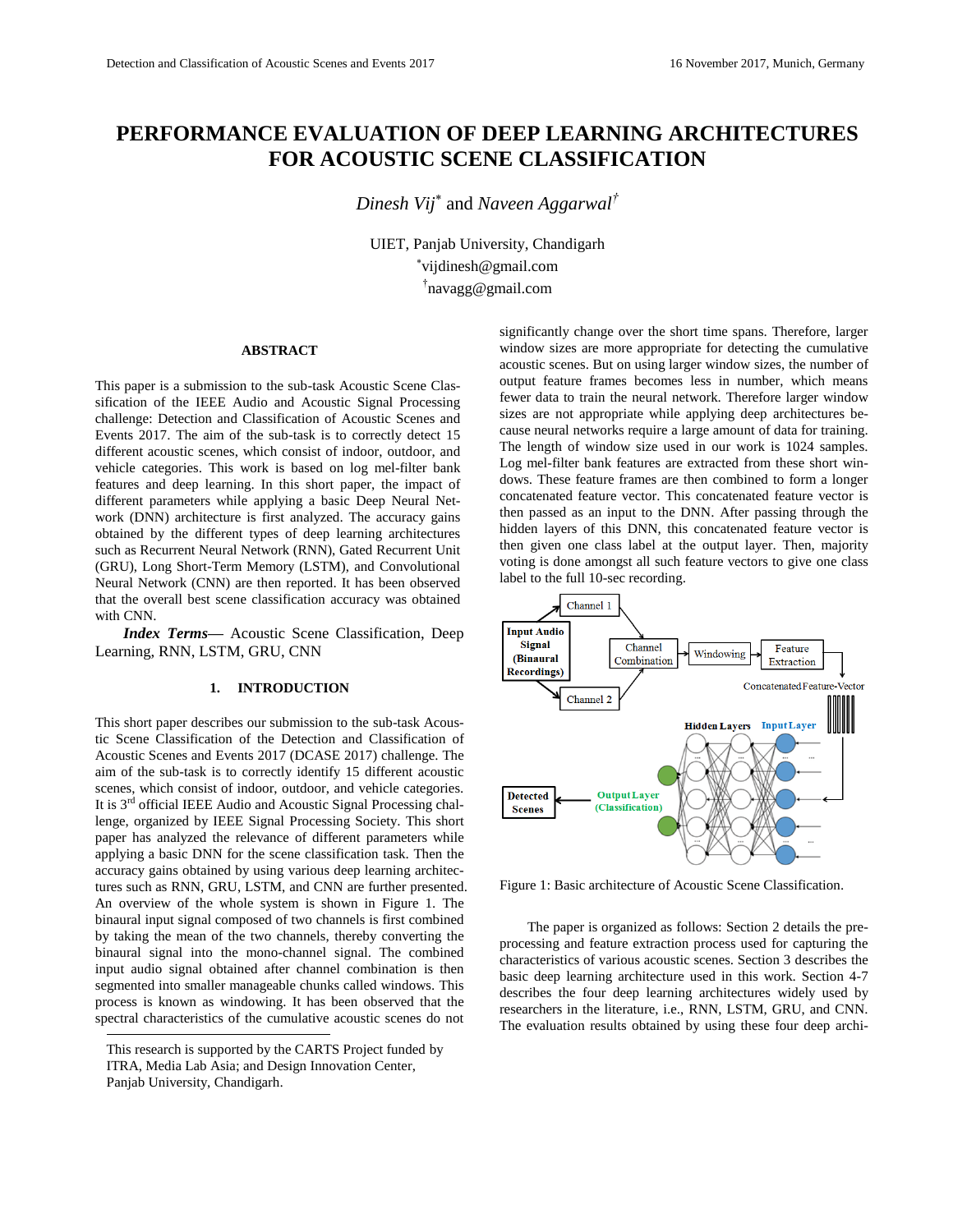# **PERFORMANCE EVALUATION OF DEEP LEARNING ARCHITECTURES FOR ACOUSTIC SCENE CLASSIFICATION**

*Dinesh Vij* and *Naveen Aggarwal†*

UIET, Panjab University, Chandigarh vijdinesh@gmail.com † navagg@gmail.com

## **ABSTRACT**

This paper is a submission to the sub-task Acoustic Scene Classification of the IEEE Audio and Acoustic Signal Processing challenge: Detection and Classification of Acoustic Scenes and Events 2017. The aim of the sub-task is to correctly detect 15 different acoustic scenes, which consist of indoor, outdoor, and vehicle categories. This work is based on log mel-filter bank features and deep learning. In this short paper, the impact of different parameters while applying a basic Deep Neural Network (DNN) architecture is first analyzed. The accuracy gains obtained by the different types of deep learning architectures such as Recurrent Neural Network (RNN), Gated Recurrent Unit (GRU), Long Short-Term Memory (LSTM), and Convolutional Neural Network (CNN) are then reported. It has been observed that the overall best scene classification accuracy was obtained with CNN.

*Index Terms—* Acoustic Scene Classification, Deep Learning, RNN, LSTM, GRU, CNN

### **1. INTRODUCTION**

l This short paper describes our submission to the sub-task Acoustic Scene Classification of the Detection and Classification of Acoustic Scenes and Events 2017 (DCASE 2017) challenge. The aim of the sub-task is to correctly identify 15 different acoustic scenes, which consist of indoor, outdoor, and vehicle categories. It is 3<sup>rd</sup> official IEEE Audio and Acoustic Signal Processing challenge, organized by IEEE Signal Processing Society. This short paper has analyzed the relevance of different parameters while applying a basic DNN for the scene classification task. Then the accuracy gains obtained by using various deep learning architectures such as RNN, GRU, LSTM, and CNN are further presented. An overview of the whole system is shown in Figure 1. The binaural input signal composed of two channels is first combined by taking the mean of the two channels, thereby converting the binaural signal into the mono-channel signal. The combined input audio signal obtained after channel combination is then segmented into smaller manageable chunks called windows. This process is known as windowing. It has been observed that the spectral characteristics of the cumulative acoustic scenes do not

significantly change over the short time spans. Therefore, larger window sizes are more appropriate for detecting the cumulative acoustic scenes. But on using larger window sizes, the number of output feature frames becomes less in number, which means fewer data to train the neural network. Therefore larger window sizes are not appropriate while applying deep architectures because neural networks require a large amount of data for training. The length of window size used in our work is 1024 samples. Log mel-filter bank features are extracted from these short windows. These feature frames are then combined to form a longer concatenated feature vector. This concatenated feature vector is then passed as an input to the DNN. After passing through the hidden layers of this DNN, this concatenated feature vector is then given one class label at the output layer. Then, majority voting is done amongst all such feature vectors to give one class label to the full 10-sec recording.



Figure 1: Basic architecture of Acoustic Scene Classification.

The paper is organized as follows: Section 2 details the preprocessing and feature extraction process used for capturing the characteristics of various acoustic scenes. Section 3 describes the basic deep learning architecture used in this work. Section 4-7 describes the four deep learning architectures widely used by researchers in the literature, i.e., RNN, LSTM, GRU, and CNN. The evaluation results obtained by using these four deep archi-

This research is supported by the CARTS Project funded by ITRA, Media Lab Asia; and Design Innovation Center, Panjab University, Chandigarh.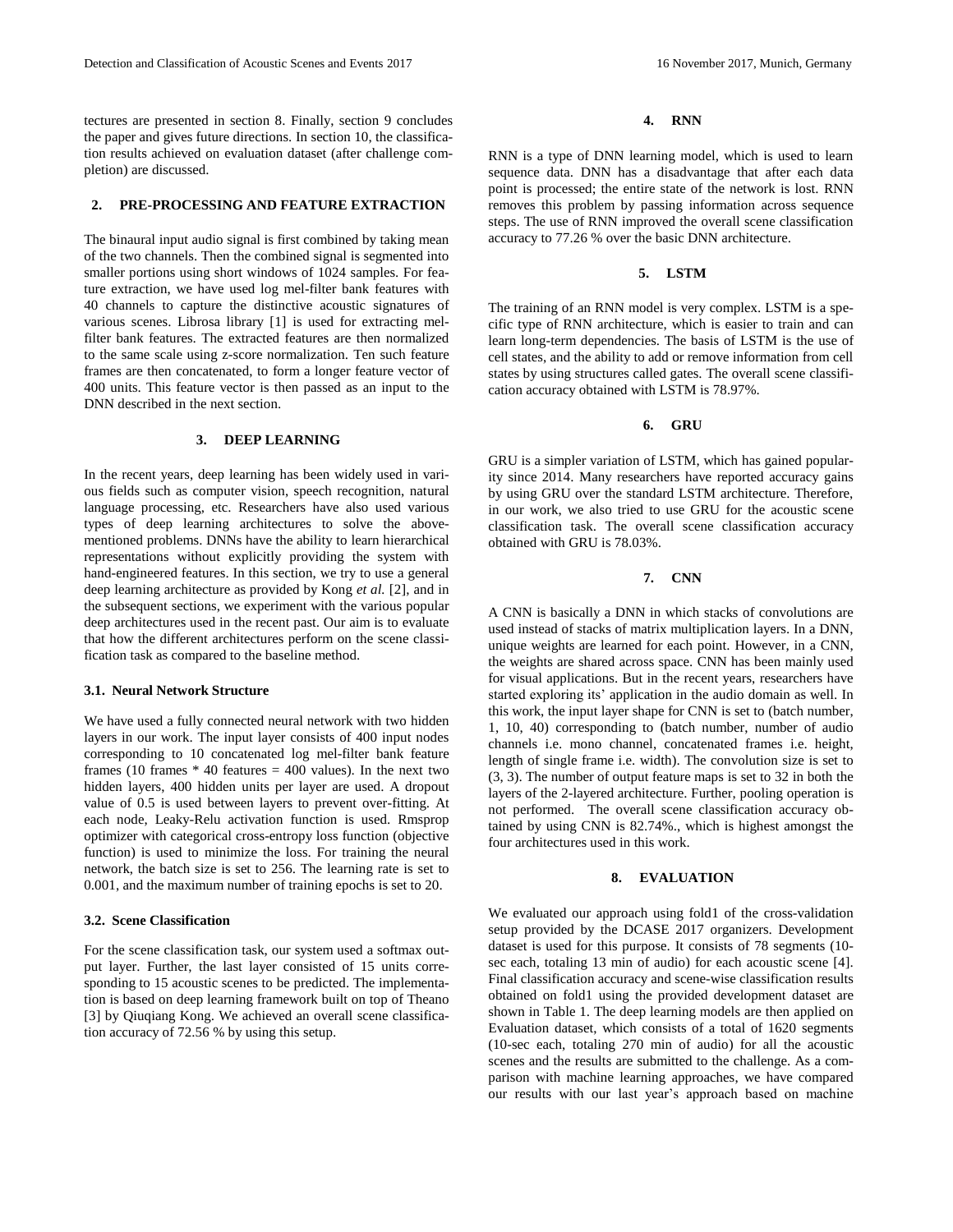tectures are presented in section 8. Finally, section 9 concludes the paper and gives future directions. In section 10, the classification results achieved on evaluation dataset (after challenge completion) are discussed.

### **2. PRE-PROCESSING AND FEATURE EXTRACTION**

The binaural input audio signal is first combined by taking mean of the two channels. Then the combined signal is segmented into smaller portions using short windows of 1024 samples. For feature extraction, we have used log mel-filter bank features with 40 channels to capture the distinctive acoustic signatures of various scenes. Librosa library [1] is used for extracting melfilter bank features. The extracted features are then normalized to the same scale using z-score normalization. Ten such feature frames are then concatenated, to form a longer feature vector of 400 units. This feature vector is then passed as an input to the DNN described in the next section.

#### **3. DEEP LEARNING**

In the recent years, deep learning has been widely used in various fields such as computer vision, speech recognition, natural language processing, etc. Researchers have also used various types of deep learning architectures to solve the abovementioned problems. DNNs have the ability to learn hierarchical representations without explicitly providing the system with hand-engineered features. In this section, we try to use a general deep learning architecture as provided by Kong *et al.* [2], and in the subsequent sections, we experiment with the various popular deep architectures used in the recent past. Our aim is to evaluate that how the different architectures perform on the scene classification task as compared to the baseline method.

### **3.1. Neural Network Structure**

We have used a fully connected neural network with two hidden layers in our work. The input layer consists of 400 input nodes corresponding to 10 concatenated log mel-filter bank feature frames (10 frames  $*$  40 features = 400 values). In the next two hidden layers, 400 hidden units per layer are used. A dropout value of 0.5 is used between layers to prevent over-fitting. At each node, Leaky-Relu activation function is used. Rmsprop optimizer with categorical cross-entropy loss function (objective function) is used to minimize the loss. For training the neural network, the batch size is set to 256. The learning rate is set to 0.001, and the maximum number of training epochs is set to 20.

### **3.2. Scene Classification**

For the scene classification task, our system used a softmax output layer. Further, the last layer consisted of 15 units corresponding to 15 acoustic scenes to be predicted. The implementation is based on deep learning framework built on top of Theano [3] by Qiuqiang Kong. We achieved an overall scene classification accuracy of 72.56 % by using this setup.

## **4. RNN**

RNN is a type of DNN learning model, which is used to learn sequence data. DNN has a disadvantage that after each data point is processed; the entire state of the network is lost. RNN removes this problem by passing information across sequence steps. The use of RNN improved the overall scene classification accuracy to 77.26 % over the basic DNN architecture.

# **5. LSTM**

The training of an RNN model is very complex. LSTM is a specific type of RNN architecture, which is easier to train and can learn long-term dependencies. The basis of LSTM is the use of cell states, and the ability to add or remove information from cell states by using structures called gates. The overall scene classification accuracy obtained with LSTM is 78.97%.

### **6. GRU**

GRU is a simpler variation of LSTM, which has gained popularity since 2014. Many researchers have reported accuracy gains by using GRU over the standard LSTM architecture. Therefore, in our work, we also tried to use GRU for the acoustic scene classification task. The overall scene classification accuracy obtained with GRU is 78.03%.

#### **7. CNN**

A CNN is basically a DNN in which stacks of convolutions are used instead of stacks of matrix multiplication layers. In a DNN, unique weights are learned for each point. However, in a CNN, the weights are shared across space. CNN has been mainly used for visual applications. But in the recent years, researchers have started exploring its' application in the audio domain as well. In this work, the input layer shape for CNN is set to (batch number, 1, 10, 40) corresponding to (batch number, number of audio channels i.e. mono channel, concatenated frames i.e. height, length of single frame i.e. width). The convolution size is set to (3, 3). The number of output feature maps is set to 32 in both the layers of the 2-layered architecture. Further, pooling operation is not performed. The overall scene classification accuracy obtained by using CNN is 82.74%., which is highest amongst the four architectures used in this work.

### **8. EVALUATION**

We evaluated our approach using fold1 of the cross-validation setup provided by the DCASE 2017 organizers. Development dataset is used for this purpose. It consists of 78 segments (10 sec each, totaling 13 min of audio) for each acoustic scene [4]. Final classification accuracy and scene-wise classification results obtained on fold1 using the provided development dataset are shown in Table 1. The deep learning models are then applied on Evaluation dataset, which consists of a total of 1620 segments (10-sec each, totaling 270 min of audio) for all the acoustic scenes and the results are submitted to the challenge. As a comparison with machine learning approaches, we have compared our results with our last year's approach based on machine